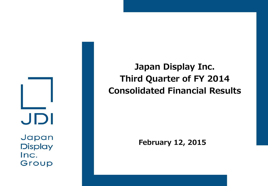JDI

Japan **Display** Inc. Group

**Japan Display Inc. Third Quarter of FY 2014 Consolidated Financial Results**

**February 12, 2015**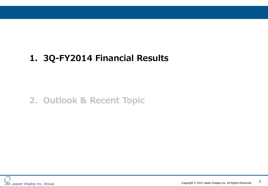# **1. 3Q-FY2014 Financial Results**

## **2. Outlook & Recent Topic**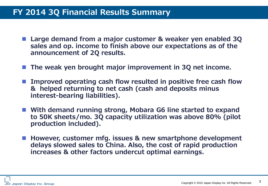#### **FY 2014 3Q Financial Results Summary**

- Large demand from a major customer & weaker yen enabled 3Q **sales and op. income to finish above our expectations as of the announcement of 2Q results.**
- **The weak yen brought major improvement in 3Q net income.**
- Improved operating cash flow resulted in positive free cash flow **& helped returning to net cash (cash and deposits minus interest-bearing liabilities).**
- **With demand running strong, Mobara G6 line started to expand to 50K sheets/mo. 3Q capacity utilization was above 80% (pilot production included).**
- However, customer mfg. issues & new smartphone development **delays slowed sales to China. Also, the cost of rapid production increases & other factors undercut optimal earnings.**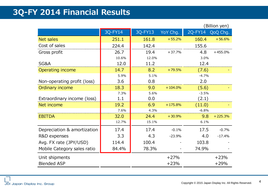## **3Q-FY 2014 Financial Results**

|                             |         |         | (Billion yen) |         |           |
|-----------------------------|---------|---------|---------------|---------|-----------|
|                             | 3Q-FY14 | 3Q-FY13 | YoY Chg.      | 2Q-FY14 | QoQ Chg.  |
| Net sales                   | 251.1   | 161.8   | $+55.2%$      | 160.4   | $+56.6%$  |
| Cost of sales               | 224.4   | 142.4   |               | 155.6   |           |
| Gross profit                | 26.7    | 19.4    | $+37.7%$      | 4.8     | $+455.0%$ |
|                             | 10.6%   | 12.0%   |               | 3.0%    |           |
| SG&A                        | 12.0    | 11.2    |               | 12.4    |           |
| Operating income            | 14.7    | 8.2     | $+79.5%$      | (7.6)   |           |
|                             | 5.9%    | 5.1%    |               | $-4.7%$ |           |
| Non-operating profit (loss) | 3.6     | 0.8     |               | 2.0     |           |
| Ordinary income             | 18.3    | 9.0     | $+104.0%$     | (5.6)   |           |
|                             | 7.3%    | 5.6%    |               | $-3.5%$ |           |
| Extraordinary income (loss) | 1.1     | 0.0     |               | (2.1)   |           |
| Net income                  | 19.2    | 6.9     | $+175.8%$     | (11.0)  |           |
|                             | 7.6%    | 4.3%    |               | $-6.8%$ |           |
| <b>EBITDA</b>               | 32.0    | 24.4    | $+30.9%$      | 9.8     | $+225.3%$ |
|                             | 12.7%   | 15.1%   |               | 6.1%    |           |
| Depreciation & amortization | 17.4    | 17.4    | $-0.1%$       | 17.5    | $-0.7%$   |
| R&D expenses                | 3.3     | 4.3     | $-23.9%$      | 4.0     | $-17.4%$  |
| Avg. FX rate (JPY/USD)      | 114.4   | 100.4   |               | 103.8   |           |
| Mobile Category sales ratio | 84.4%   | 78.3%   |               | 74.9%   |           |
| Unit shipments              |         |         | $+27%$        |         | $+23%$    |
| <b>Blended ASP</b>          |         |         | $+23%$        |         | $+29%$    |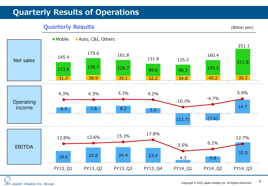#### **Quarterly Results of Operations**

#### **Quarterly Results** (Billion yen)

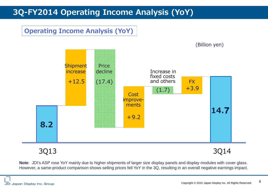## **3Q-FY2014 Operating Income Analysis (YoY)**

#### **Operating Income Analysis (YoY)**



#### 3Q13 3Q14

(Billion yen)

**Note**: JDI's ASP rose YoY mainly due to higher shipments of larger size display panels and display modules with cover glass. However, a same-product comparison shows selling prices fell YoY in the 3Q, resulting in an overall negative earnings impact.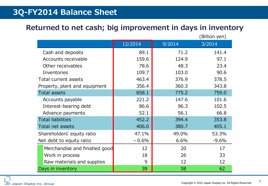#### **3Q-FY2014 Balance Sheet**

#### **Returned to net cash; big improvement in days in inventory**

|                               |         |        | (Billion yen) |
|-------------------------------|---------|--------|---------------|
|                               | 12/2014 | 9/2014 | 3/2014        |
| Cash and deposits             | 89.1    | 71.2   | 141.4         |
| Accounts receivable           | 159.6   | 124.9  | 97.1          |
| Other receivables             | 78.6    | 48.3   | 23.4          |
| Inventories                   | 109.7   | 103.0  | 90.6          |
| Total current assets          | 463.4   | 376.9  | 378.5         |
| Property, plant and equipment | 356.4   | 360.3  | 343.8         |
| <b>Total assets</b>           | 858.1   | 775.2  | 759.0         |
| Accounts payable              | 221.2   | 147.6  | 101.6         |
| Interest-bearing debt         | 86.6    | 96.3   | 102.5         |
| Advance payments              | 52.1    | 56.1   | 66.8          |
| <b>Total liabilities</b>      | 452.2   | 394.4  | 353.8         |
| Total net assets              | 406.0   | 380.7  | 405.1         |
| Shareholders' equity ratio    | 47.1%   | 49.0%  | 53.3%         |
| Net debt to equity ratio      | $-0.6%$ | 6.6%   | $-9.6%$       |
| Merchandise and finished good | 12      | 20     | 17            |
| Work in process               | 18      | 26     | 33            |
| Raw materials and supplies    | 9       | 12     | 12            |
| Days in inventory             | 39      | 58     | 62            |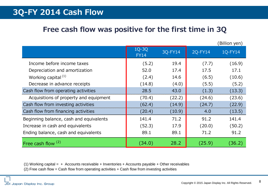#### **3Q-FY 2014 Cash Flow**

#### **Free cash flow was positive for the first time in 3Q**

(Billion yen)

|                                         | 1Q-3Q<br><b>FY14</b> | 3Q-FY14 | 2Q-FY14 | 1Q-FY14 |
|-----------------------------------------|----------------------|---------|---------|---------|
| Income before income taxes              | (5.2)                | 19.4    | (7.7)   | (16.9)  |
| Depreciation and amortization           | 52.0                 | 17.4    | 17.5    | 17.1    |
| Working capital <sup>(1)</sup>          | (2.4)                | 14.6    | (6.5)   | (10.6)  |
| Decrease in advance receipts            | (14.8)               | (4.0)   | (5.5)   | (5.2)   |
| Cash flow from operating activities     | 28.5                 | 43.0    | (1.3)   | (13.3)  |
| Acquisitions of property and equipment  | (70.4)               | (22.2)  | (24.6)  | (23.6)  |
| Cash flow from investing activities     | (62.4)               | (14.9)  | (24.7)  | (22.9)  |
| Cash flow from financing activities     | (20.4)               | (10.9)  | 4.0     | (13.5)  |
| Beginning balance, cash and equivalents | 141.4                | 71.2    | 91.2    | 141.4   |
| Increase in cash and equivalents        | (52.3)               | 17.9    | (20.0)  | (50.2)  |
| Ending balance, cash and equivalents    | 89.1                 | 89.1    | 71.2    | 91.2    |
| Free cash flow <sup>(2)</sup>           | (34.0)               | 28.2    | (25.9)  | (36.2)  |

(1) Working capital =  $+$  Accounts receivable + Inventories + Accounts payable + Other receivables (2) Free cash flow = Cash flow from operating activities + Cash flow from investing activities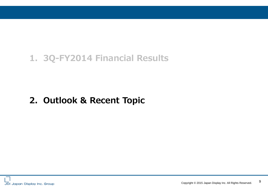# **1. 3Q-FY2014 Financial Results**

# **2. Outlook & Recent Topic**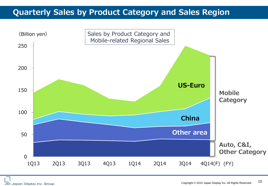#### **Quarterly Sales by Product Category and Sales Region**

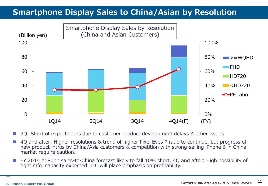## **Smartphone Display Sales to China/Asian by Resolution**



3Q: Short of expectations due to customer product development delays & other issues

- 4Q and after: Higher resolutions & trend of higher Pixel Eyes™ ratio to continue, but progress of new product intros by China/Asia customers & competition with strong-selling iPhone 6 in China market require caution.
- FY 2014 Y180bn sales-to-China forecast likely to fall 10% short. 4Q and after: High possibility of tight mfg. capacity expected. JDI will place emphasis on profitability.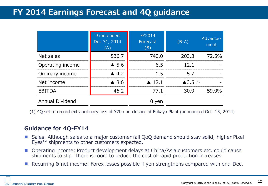#### **FY 2014 Earnings Forecast and 4Q guidance**

|                        | 9 mo ended<br>Dec 31, 2014<br>(A) | <b>FY2014</b><br>Forecast<br>(B) | $(B-A)$             | Advance-<br>ment |
|------------------------|-----------------------------------|----------------------------------|---------------------|------------------|
| Net sales              | 536.7                             | 740.0                            |                     | 203.3 72.5%      |
| Operating income       | $\triangle$ 5.6                   | 6.5                              | 12.1                |                  |
| Ordinary income        | 4.2                               | 1.5                              | 5.7                 |                  |
| Net income             | $\triangle$ 8.6                   | $\blacktriangle$ 12.1            | $\triangle$ 3.5 (1) |                  |
| <b>EBITDA</b>          | 46.2                              | 77.1                             | 30.9                | 59.9%            |
| <b>Annual Dividend</b> |                                   | yen                              |                     |                  |

(1) 4Q set to record extraordinary loss of Y7bn on closure of Fukaya Plant (announced Oct. 15, 2014)

#### **Guidance for 4Q-FY14**

- Sales: Although sales to a major customer fall QoQ demand should stay solid; higher Pixel Eyes™ shipments to other customers expected.
- Operating income: Product development delays at China/Asia customers etc. could cause shipments to slip. There is room to reduce the cost of rapid production increases.
- Recurring & net income: Forex losses possible if yen strengthens compared with end-Dec.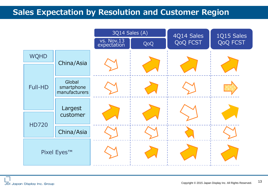#### **Sales Expectation by Resolution and Customer Region**

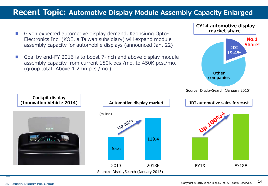#### **Recent Topic: Automotive Display Module Assembly Capacity Enlarged**

- Given expected automotive display demand, Kaohsiung Opto-Electronics Inc. (KOE, a Taiwan subsidiary) will expand module assembly capacity for automobile displays (announced Jan. 22)
- Goal by end-FY 2016 is to boost 7-inch and above display module assembly capacity from current 180K pcs./mo. to 450K pcs./mo. (group total: Above 1.2mn pcs./mo.)